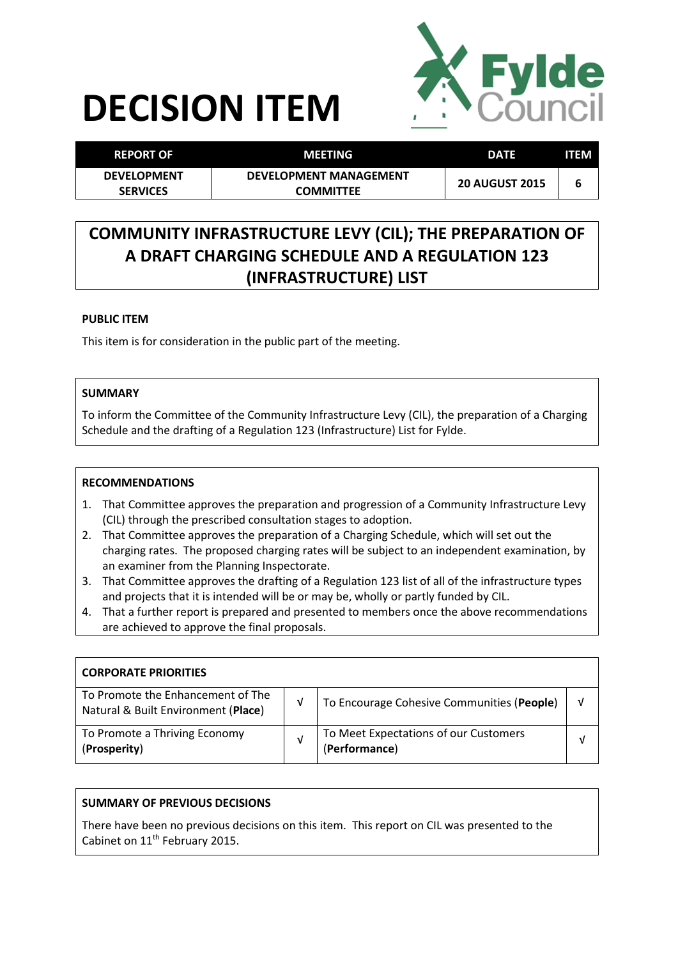# **DECISION ITEM**



| <b>REPORT OF</b>                      | MEETING                                           | <b>DATE</b>           | <b>ITEM</b> |
|---------------------------------------|---------------------------------------------------|-----------------------|-------------|
| <b>DEVELOPMENT</b><br><b>SERVICES</b> | <b>DEVELOPMENT MANAGEMENT</b><br><b>COMMITTEE</b> | <b>20 AUGUST 2015</b> | b           |

# **COMMUNITY INFRASTRUCTURE LEVY (CIL); THE PREPARATION OF A DRAFT CHARGING SCHEDULE AND A REGULATION 123 (INFRASTRUCTURE) LIST**

# **PUBLIC ITEM**

This item is for consideration in the public part of the meeting.

# **SUMMARY**

To inform the Committee of the Community Infrastructure Levy (CIL), the preparation of a Charging Schedule and the drafting of a Regulation 123 (Infrastructure) List for Fylde.

### **RECOMMENDATIONS**

- 1. That Committee approves the preparation and progression of a Community Infrastructure Levy (CIL) through the prescribed consultation stages to adoption.
- 2. That Committee approves the preparation of a Charging Schedule, which will set out the charging rates. The proposed charging rates will be subject to an independent examination, by an examiner from the Planning Inspectorate.
- 3. That Committee approves the drafting of a Regulation 123 list of all of the infrastructure types and projects that it is intended will be or may be, wholly or partly funded by CIL.
- 4. That a further report is prepared and presented to members once the above recommendations are achieved to approve the final proposals.

| <b>CORPORATE PRIORITIES</b>                                              |   |                                                        |   |
|--------------------------------------------------------------------------|---|--------------------------------------------------------|---|
| To Promote the Enhancement of The<br>Natural & Built Environment (Place) | v | To Encourage Cohesive Communities (People)             | v |
| To Promote a Thriving Economy<br>(Prosperity)                            | ν | To Meet Expectations of our Customers<br>(Performance) | V |

# **SUMMARY OF PREVIOUS DECISIONS**

There have been no previous decisions on this item. This report on CIL was presented to the Cabinet on 11<sup>th</sup> February 2015.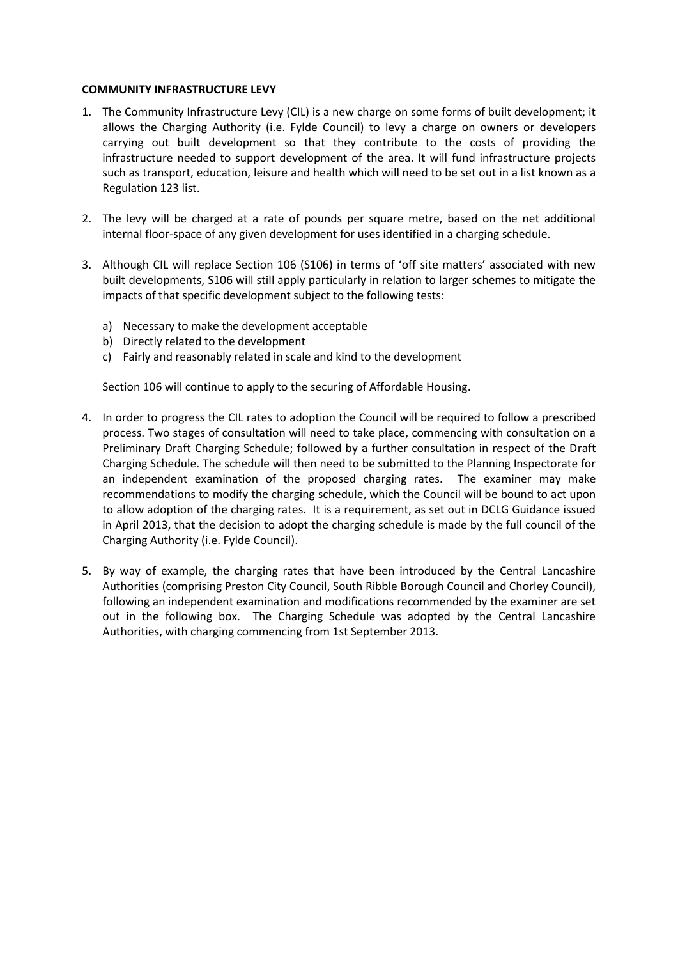#### **COMMUNITY INFRASTRUCTURE LEVY**

- 1. The Community Infrastructure Levy (CIL) is a new charge on some forms of built development; it allows the Charging Authority (i.e. Fylde Council) to levy a charge on owners or developers carrying out built development so that they contribute to the costs of providing the infrastructure needed to support development of the area. It will fund infrastructure projects such as transport, education, leisure and health which will need to be set out in a list known as a Regulation 123 list.
- 2. The levy will be charged at a rate of pounds per square metre, based on the net additional internal floor-space of any given development for uses identified in a charging schedule.
- 3. Although CIL will replace Section 106 (S106) in terms of 'off site matters' associated with new built developments, S106 will still apply particularly in relation to larger schemes to mitigate the impacts of that specific development subject to the following tests:
	- a) Necessary to make the development acceptable
	- b) Directly related to the development
	- c) Fairly and reasonably related in scale and kind to the development

Section 106 will continue to apply to the securing of Affordable Housing.

- 4. In order to progress the CIL rates to adoption the Council will be required to follow a prescribed process. Two stages of consultation will need to take place, commencing with consultation on a Preliminary Draft Charging Schedule; followed by a further consultation in respect of the Draft Charging Schedule. The schedule will then need to be submitted to the Planning Inspectorate for an independent examination of the proposed charging rates. The examiner may make recommendations to modify the charging schedule, which the Council will be bound to act upon to allow adoption of the charging rates. It is a requirement, as set out in DCLG Guidance issued in April 2013, that the decision to adopt the charging schedule is made by the full council of the Charging Authority (i.e. Fylde Council).
- 5. By way of example, the charging rates that have been introduced by the Central Lancashire Authorities (comprising Preston City Council, South Ribble Borough Council and Chorley Council), following an independent examination and modifications recommended by the examiner are set out in the following box. The Charging Schedule was adopted by the Central Lancashire Authorities, with charging commencing from 1st September 2013.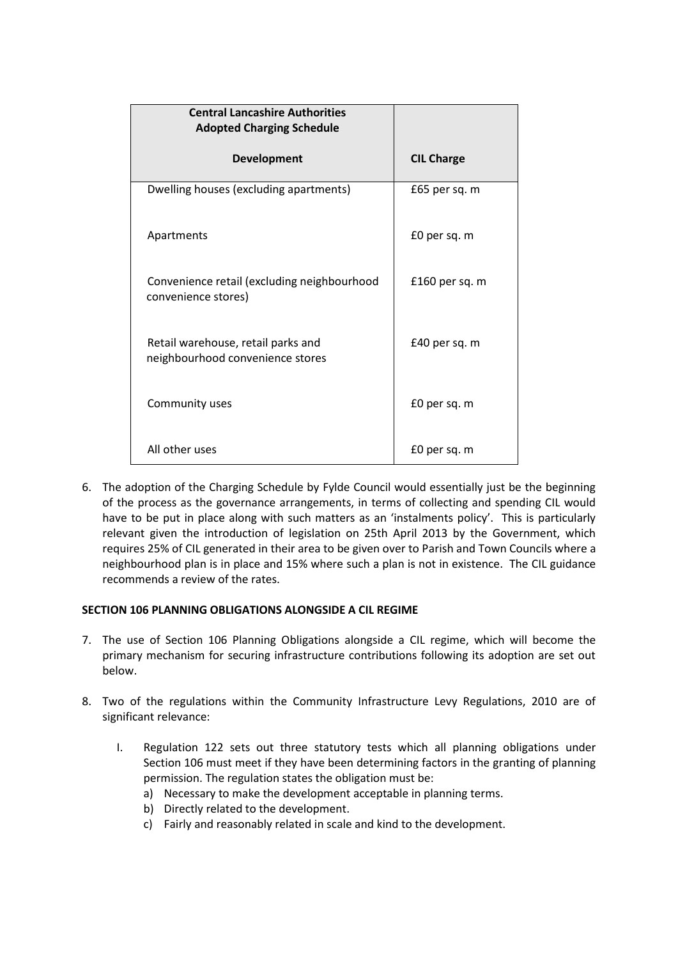| <b>Central Lancashire Authorities</b><br><b>Adopted Charging Schedule</b> |                   |
|---------------------------------------------------------------------------|-------------------|
| <b>Development</b>                                                        | <b>CIL Charge</b> |
| Dwelling houses (excluding apartments)                                    | £65 per sq. m     |
| Apartments                                                                | £0 per sq. m      |
| Convenience retail (excluding neighbourhood<br>convenience stores)        | £160 per sq. $m$  |
| Retail warehouse, retail parks and<br>neighbourhood convenience stores    | £40 per sq. m     |
| Community uses                                                            | £0 per sq. m      |
| All other uses                                                            | £0 per sq. m      |

6. The adoption of the Charging Schedule by Fylde Council would essentially just be the beginning of the process as the governance arrangements, in terms of collecting and spending CIL would have to be put in place along with such matters as an 'instalments policy'. This is particularly relevant given the introduction of legislation on 25th April 2013 by the Government, which requires 25% of CIL generated in their area to be given over to Parish and Town Councils where a neighbourhood plan is in place and 15% where such a plan is not in existence. The CIL guidance recommends a review of the rates.

# **SECTION 106 PLANNING OBLIGATIONS ALONGSIDE A CIL REGIME**

- 7. The use of Section 106 Planning Obligations alongside a CIL regime, which will become the primary mechanism for securing infrastructure contributions following its adoption are set out below.
- 8. Two of the regulations within the Community Infrastructure Levy Regulations, 2010 are of significant relevance:
	- I. Regulation 122 sets out three statutory tests which all planning obligations under Section 106 must meet if they have been determining factors in the granting of planning permission. The regulation states the obligation must be:
		- a) Necessary to make the development acceptable in planning terms.
		- b) Directly related to the development.
		- c) Fairly and reasonably related in scale and kind to the development.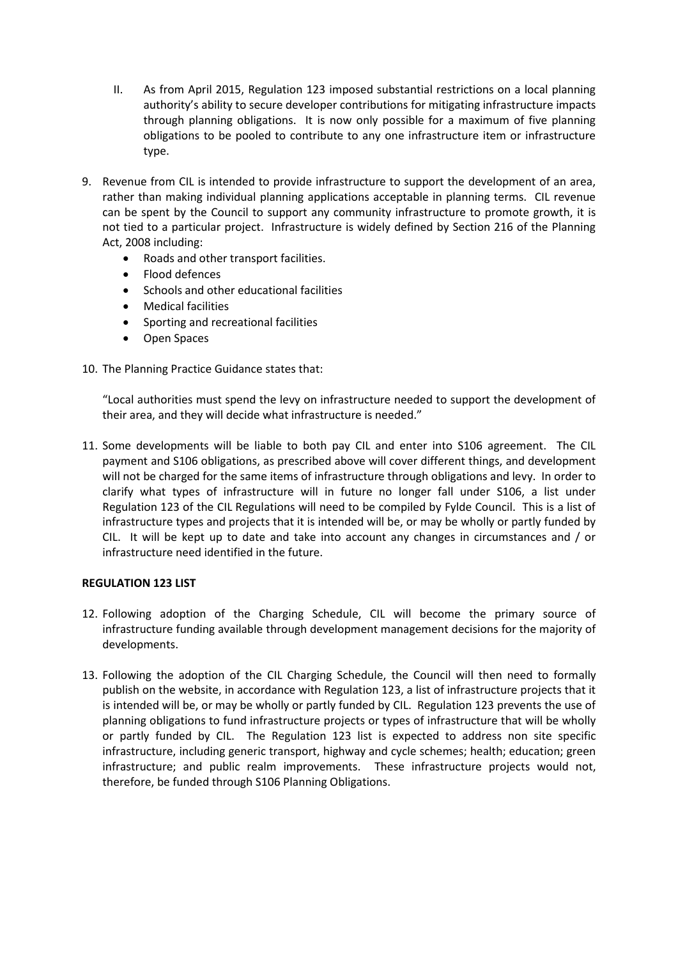- II. As from April 2015, Regulation 123 imposed substantial restrictions on a local planning authority's ability to secure developer contributions for mitigating infrastructure impacts through planning obligations. It is now only possible for a maximum of five planning obligations to be pooled to contribute to any one infrastructure item or infrastructure type.
- 9. Revenue from CIL is intended to provide infrastructure to support the development of an area, rather than making individual planning applications acceptable in planning terms. CIL revenue can be spent by the Council to support any community infrastructure to promote growth, it is not tied to a particular project. Infrastructure is widely defined by Section 216 of the Planning Act, 2008 including:
	- Roads and other transport facilities.
	- Flood defences
	- Schools and other educational facilities
	- Medical facilities
	- Sporting and recreational facilities
	- Open Spaces
- 10. The Planning Practice Guidance states that:

"Local authorities must spend the levy on infrastructure needed to support the development of their area, and they will decide what infrastructure is needed."

11. Some developments will be liable to both pay CIL and enter into S106 agreement. The CIL payment and S106 obligations, as prescribed above will cover different things, and development will not be charged for the same items of infrastructure through obligations and levy. In order to clarify what types of infrastructure will in future no longer fall under S106, a list under Regulation 123 of the CIL Regulations will need to be compiled by Fylde Council. This is a list of infrastructure types and projects that it is intended will be, or may be wholly or partly funded by CIL. It will be kept up to date and take into account any changes in circumstances and / or infrastructure need identified in the future.

#### **REGULATION 123 LIST**

- 12. Following adoption of the Charging Schedule, CIL will become the primary source of infrastructure funding available through development management decisions for the majority of developments.
- 13. Following the adoption of the CIL Charging Schedule, the Council will then need to formally publish on the website, in accordance with Regulation 123, a list of infrastructure projects that it is intended will be, or may be wholly or partly funded by CIL. Regulation 123 prevents the use of planning obligations to fund infrastructure projects or types of infrastructure that will be wholly or partly funded by CIL. The Regulation 123 list is expected to address non site specific infrastructure, including generic transport, highway and cycle schemes; health; education; green infrastructure; and public realm improvements. These infrastructure projects would not, therefore, be funded through S106 Planning Obligations.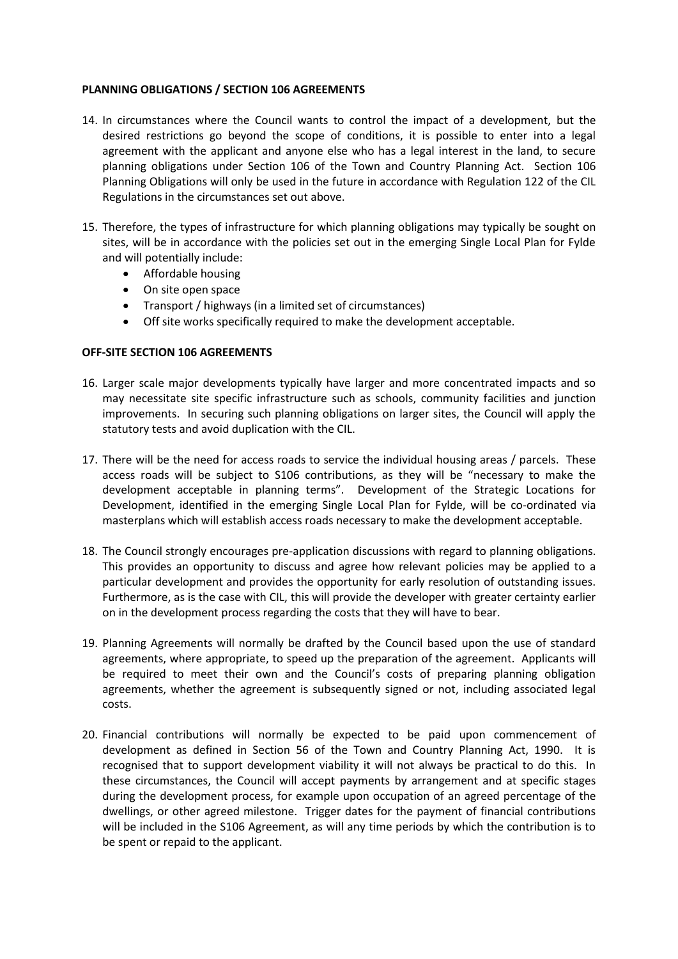#### **PLANNING OBLIGATIONS / SECTION 106 AGREEMENTS**

- 14. In circumstances where the Council wants to control the impact of a development, but the desired restrictions go beyond the scope of conditions, it is possible to enter into a legal agreement with the applicant and anyone else who has a legal interest in the land, to secure planning obligations under Section 106 of the Town and Country Planning Act. Section 106 Planning Obligations will only be used in the future in accordance with Regulation 122 of the CIL Regulations in the circumstances set out above.
- 15. Therefore, the types of infrastructure for which planning obligations may typically be sought on sites, will be in accordance with the policies set out in the emerging Single Local Plan for Fylde and will potentially include:
	- Affordable housing
	- On site open space
	- Transport / highways (in a limited set of circumstances)
	- Off site works specifically required to make the development acceptable.

# **OFF-SITE SECTION 106 AGREEMENTS**

- 16. Larger scale major developments typically have larger and more concentrated impacts and so may necessitate site specific infrastructure such as schools, community facilities and junction improvements. In securing such planning obligations on larger sites, the Council will apply the statutory tests and avoid duplication with the CIL.
- 17. There will be the need for access roads to service the individual housing areas / parcels. These access roads will be subject to S106 contributions, as they will be "necessary to make the development acceptable in planning terms". Development of the Strategic Locations for Development, identified in the emerging Single Local Plan for Fylde, will be co-ordinated via masterplans which will establish access roads necessary to make the development acceptable.
- 18. The Council strongly encourages pre-application discussions with regard to planning obligations. This provides an opportunity to discuss and agree how relevant policies may be applied to a particular development and provides the opportunity for early resolution of outstanding issues. Furthermore, as is the case with CIL, this will provide the developer with greater certainty earlier on in the development process regarding the costs that they will have to bear.
- 19. Planning Agreements will normally be drafted by the Council based upon the use of standard agreements, where appropriate, to speed up the preparation of the agreement. Applicants will be required to meet their own and the Council's costs of preparing planning obligation agreements, whether the agreement is subsequently signed or not, including associated legal costs.
- 20. Financial contributions will normally be expected to be paid upon commencement of development as defined in Section 56 of the Town and Country Planning Act, 1990. It is recognised that to support development viability it will not always be practical to do this. In these circumstances, the Council will accept payments by arrangement and at specific stages during the development process, for example upon occupation of an agreed percentage of the dwellings, or other agreed milestone. Trigger dates for the payment of financial contributions will be included in the S106 Agreement, as will any time periods by which the contribution is to be spent or repaid to the applicant.